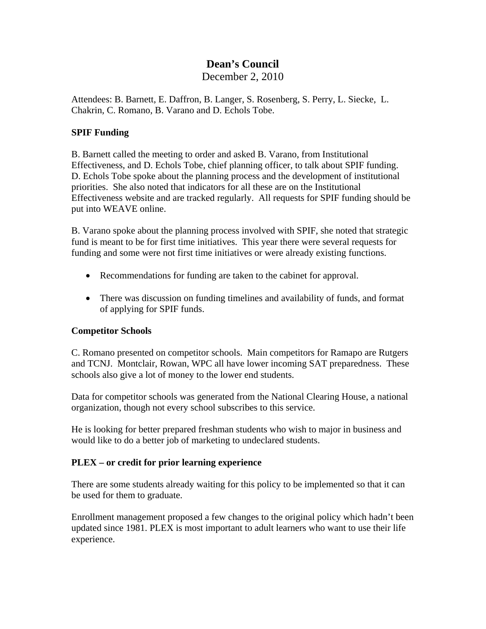# **Dean's Council**

December 2, 2010

Attendees: B. Barnett, E. Daffron, B. Langer, S. Rosenberg, S. Perry, L. Siecke, L. Chakrin, C. Romano, B. Varano and D. Echols Tobe.

#### **SPIF Funding**

B. Barnett called the meeting to order and asked B. Varano, from Institutional Effectiveness, and D. Echols Tobe, chief planning officer, to talk about SPIF funding. D. Echols Tobe spoke about the planning process and the development of institutional priorities. She also noted that indicators for all these are on the Institutional Effectiveness website and are tracked regularly. All requests for SPIF funding should be put into WEAVE online.

B. Varano spoke about the planning process involved with SPIF, she noted that strategic fund is meant to be for first time initiatives. This year there were several requests for funding and some were not first time initiatives or were already existing functions.

- Recommendations for funding are taken to the cabinet for approval.
- There was discussion on funding timelines and availability of funds, and format of applying for SPIF funds.

#### **Competitor Schools**

C. Romano presented on competitor schools. Main competitors for Ramapo are Rutgers and TCNJ. Montclair, Rowan, WPC all have lower incoming SAT preparedness. These schools also give a lot of money to the lower end students.

Data for competitor schools was generated from the National Clearing House, a national organization, though not every school subscribes to this service.

He is looking for better prepared freshman students who wish to major in business and would like to do a better job of marketing to undeclared students.

### **PLEX – or credit for prior learning experience**

There are some students already waiting for this policy to be implemented so that it can be used for them to graduate.

Enrollment management proposed a few changes to the original policy which hadn't been updated since 1981. PLEX is most important to adult learners who want to use their life experience.